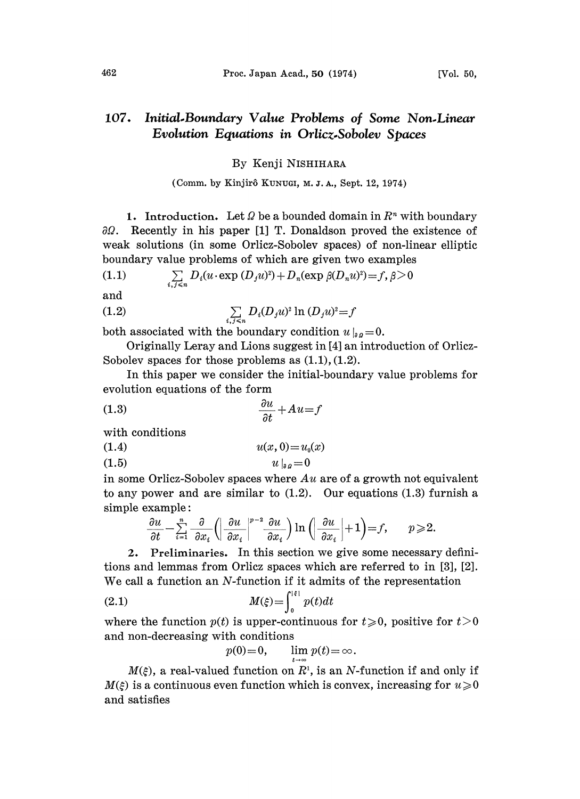## 107. Initial.Boundary Value Problems of Some Non.Linear Evolution Equations in Orlicz.Sobolev Spaces

## By Kenji NISHIHARA

## (Comm. by Kinjirô KUNUGI, M. J. A., Sept. 12, 1974)

1. Introduction. Let  $\Omega$  be a bounded domain in  $\mathbb{R}^n$  with boundary  $\partial\Omega$ . Recently in his paper [1] T. Donaldson proved the existence of weak solutions (in some 0rliez-Sobolev spaces) of non-linear elliptic boundary value problems of which are given two examples<br>
(1.1)  $\sum_{i,j\leq n} D_i(u \cdot \exp(D_j u)^2) + D_n(\exp(\beta(D_n u)^2)) = f, \beta > 0$ 

(1.1) 
$$
\sum_{i,j \leq n} D_i(u \cdot \exp{(D_j u)^2}) + D_n(\exp{\beta(D_n u)^2}) = f, \, \beta > 0
$$

and

(1.2) 
$$
\sum_{i,j \leq n} D_i (D_j u)^2 \ln (D_j u)^2 = f
$$

both associated with the boundary condition  $u|_{aa}=0$ .

Originally Leray and Lions suggest in [4] an introduction of Orlicz-Sobolev spaces for those problems as  $(1.1), (1.2)$ .

In this paper we consider the initial-boundary value problems for evolution equations of the form

$$
\frac{\partial u}{\partial t} + Au = f
$$

with conditions

$$
(1.4) \t\t u(x, 0) = u_0(x)
$$

$$
(1.5) \t\t u|_{a} = 0
$$

in some Orlicz-Sobolev spaces where  $Au$  are of a growth not equivalent to any power and are similar to  $(1.2)$ . Our equations  $(1.3)$  furnish a simple example:

$$
\frac{\partial u}{\partial t} - \sum_{i=1}^n \frac{\partial}{\partial x_i} \left( \left| \frac{\partial u}{\partial x_i} \right|^{p-2} \frac{\partial u}{\partial x_i} \right) \ln \left( \left| \frac{\partial u}{\partial x_i} \right| + 1 \right) = f, \qquad p \geqslant 2.
$$
  
2. Preliminaries. In this section we give some necessary defini-

tions and lemmas from Orlicz spaces which are referred to in [3], [2]. We call a function an  $N$ -function if it admits of the representation

(2.1) 
$$
M(\xi) = \int_0^{|\xi|} p(t)dt
$$

where the function  $p(t)$  is upper-continuous for  $t\geqslant 0$ , positive for  $t>0$ and non-decreasing with conditions

$$
p(0)=0
$$
,  $\lim_{t \to \infty} p(t) = \infty$ .

 $M(\xi)$ , a real-valued function on  $R<sup>1</sup>$ , is an N-function if and only if  $M(\xi)$  is a continuous even function which is convex, increasing for  $u\geqslant 0$ and satisfies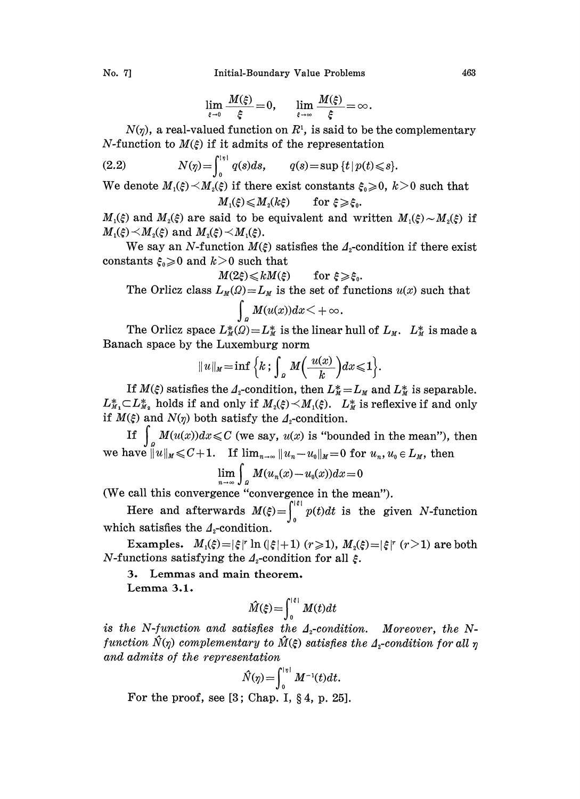No. 7] Initial-Boundary Value Problems 463

$$
\lim_{\varepsilon \to 0} \frac{M(\xi)}{\xi} = 0, \qquad \lim_{\varepsilon \to \infty} \frac{M(\xi)}{\xi} = \infty.
$$

 $N(\eta)$ , a real-valued function on  $R<sup>1</sup>$ , is said to be the complementary *N*-function to  $M(\xi)$  if it admits of the representation

(2.2) 
$$
N(\eta) = \int_0^{|\eta|} q(s) ds, \qquad q(s) = \sup \{t \, | \, p(t) \leq s\}.
$$

We denote  $M_1(\xi) \prec M_2(\xi)$  if there exist constants  $\xi_0 \geq 0$ ,  $k > 0$  such that  $M_1(\xi) \leqslant M_2(k\xi)$  for  $\xi \geqslant \xi_0$ .

 $M_1(\xi)$  and  $M_2(\xi)$  are said to be equivalent and written  $M_1(\xi) \sim M_2(\xi)$  if  $M_1(\xi) \prec M_2(\xi)$  and  $M_2(\xi) \prec M_1(\xi)$ .

We say an N-function  $M(\xi)$  satisfies the  $\Lambda_2$ -condition if there exist constants  $\xi_0 \geqslant 0$  and  $k>0$  such that

$$
M(2\xi) \leq k M(\xi) \qquad \text{for } \xi \geqslant \xi_0.
$$

The Orlicz class  $L_M(\Omega) = L_M$  is the set of functions  $u(x)$  such that  $\int_{a} M(u(x))dx < +\infty.$ 

The Orlicz space  $L_M^*(\Omega) = L_M^*$  is the linear hull of  $L_M$ .  $L_M^*$  is made a Banach space by the Luxemburg norm

$$
||u||_M = \inf \Big\{ k \, ; \, \int_{a} M\Big(\frac{u(x)}{k}\Big) dx \leq 1 \Big\}.
$$

If  $M(\xi)$  satisfies the  $\Lambda_{\xi}$ -condition, then  $L_M^* = L_M$  and  $L_M^*$  is separable.  $L_{M_1}^* \subset L_{M_2}^*$  holds if and only if  $M_2(\xi) \prec M_1(\xi)$ .  $L_M^*$  is reflexive if and only if  $M(\xi)$  and  $N(\eta)$  both satisfy the  $\Lambda$ -condition.

If  $\int_{\mathcal{C}} M(u(x))dx \leqslant C$  (we say,  $u(x)$  is "bounded in the mean"), then we have  $||u||_M \leq C+1$ . If  $\lim_{n\to\infty} ||u_n-u_0||_M=0$  for  $u_n, u_0 \in L_M$ , then

$$
\lim_{n\to\infty}\int_{\Omega}M(u_n(x)-u_0(x))dx=0
$$

(We eall this convergence "convergence in the mean").

Here and afterwards  $M(\xi) = \int_0^{|\xi|} p(t) dt$  is the given N-function which satisfies the  $A<sub>z</sub>$ -condition.

Examples.  $M_1(\xi) = |\xi|^r \ln(|\xi|+1)$   $(r \ge 1)$ ,  $M_2(\xi) = |\xi|^r$   $(r>1)$  are both *N*-functions satisfying the  $\Lambda_2$ -condition for all  $\xi$ .

3. Lemmas and main theorem.

Lemma 3.1.

$$
\hat{M}(\xi) = \int_0^{|\xi|} M(t) dt
$$

is the N-function and satisfies the  $\Lambda$ -condition. Moreover, the Nfunction  $\hat{N}(\eta)$  complementary to  $\hat{M}(\xi)$  satisfies the  $\Lambda$ -condition for all  $\eta$ and admits of the representation

$$
\hat{N}(\eta) = \int_0^{|\eta|} M^{-1}(t) dt.
$$

For the proof, see  $[3;$  Chap. I,  $\S 4$ , p. 25].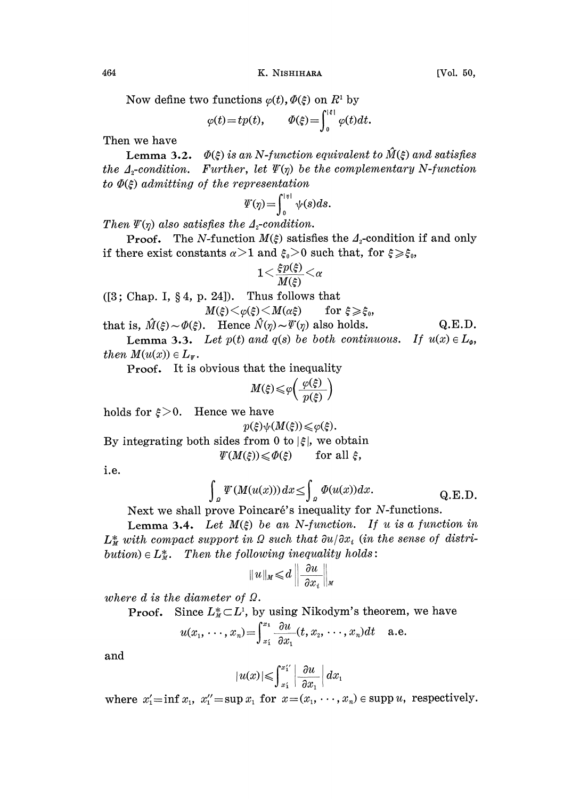Now define two functions  $\varphi(t)$ ,  $\varPhi(\xi)$  on  $R^1$  by

$$
\varphi(t) = tp(t), \qquad \Phi(\xi) = \int_0^{|\xi|} \varphi(t) dt.
$$

Then we have

Lemma 3.2.  $\Phi(\xi)$  is an N-function equivalent to  $\hat{M}(\xi)$  and satisfies the  $\Lambda_z$ -condition. Further, let  $\Psi(\eta)$  be the complementary N-function to  $\Phi(\xi)$  admitting of the representation

$$
\varPsi(\eta) = \int_0^{|\eta|} \psi(s) ds.
$$

Then  $\Psi(\eta)$  also satisfies the  $\Lambda_2$ -condition.

**Proof.** The N-function  $M(\xi)$  satisfies the  $\Lambda_2$ -condition if and only if there exist constants  $\alpha > 1$  and  $\xi_0 > 0$  such that, for  $\xi \geq \xi_0$ ,

$$
1{<}\frac{\xi p(\xi)}{M(\xi)}{<}\alpha
$$

 $([3; Chap. I, § 4, p. 24]).$  Thus follows that

$$
M(\xi) \leq \varphi(\xi) \leq M(\alpha \xi) \qquad \text{for } \xi \geqslant \xi
$$

 $M(\xi) \le \varphi(\xi) \le M(\alpha \xi)$  for  $\xi \ge \xi_0$ ,<br>that is,  $\hat{M}(\xi) \sim \Phi(\xi)$ . Hence  $\hat{N}(\eta) \sim \Psi(\eta)$  also holds. Q.E.D. **Lemma 3.3.** Let  $p(t)$  and  $q(s)$  be both continuous. If  $u(x) \in L_{\varphi}$ ,

then  $M(u(x)) \in L_w$ .

Proof. It is obvious that the inequality

$$
M(\xi)\!\leqslant\! \varphi\!\!\left(\frac{\varphi(\xi)}{p(\xi)}\right)
$$

holds for  $\xi > 0$ . Hence we have

$$
p(\xi)\psi(M(\xi))\leqslant\varphi(\xi)
$$

By integrating both sides from 0 to  $|\xi|$ , we obtain

$$
\varPsi(M(\xi)) \leq \varPhi(\xi) \quad \text{for all } \xi,
$$

i.e.

$$
\int_{a} \Psi(M(u(x))) dx \leq \int_{a} \Phi(u(x)) dx.
$$
 Q.E.D.  
Next we shall prove Poincaré's inequality for N-functions.

Lemma 3.4. Let  $M(\xi)$  be an N-function. If u is a function in  $L^*_M$  with compact support in  $\Omega$  such that  $\partial u/\partial x_i$  (in the sense of distribution)  $\in L^*_m$ . Then the following inequality holds:

$$
||u||_M \leq d \left\|\frac{\partial u}{\partial x_i}\right\|_M
$$

where d is the diameter of  $\Omega$ .

**Proof.** Since  $L^*_{\mathcal{U}} \subset L^1$ , by using Nikodym's theorem, we have

$$
u(x_1,\dots,x_n) = \int_{x_1}^{x_1} \frac{\partial u}{\partial x_1}(t,x_2,\dots,x_n) dt
$$
 a.e.

and

$$
|u(x)| \leqslant \int_{x_1}^{x_1'} \left| \frac{\partial u}{\partial x_1} \right| dx_1
$$

where  $x'_1 = \inf x_1, x''_1 = \sup x_1$  for  $x = (x_1, \dots, x_n) \in \text{supp } u$ , respectively.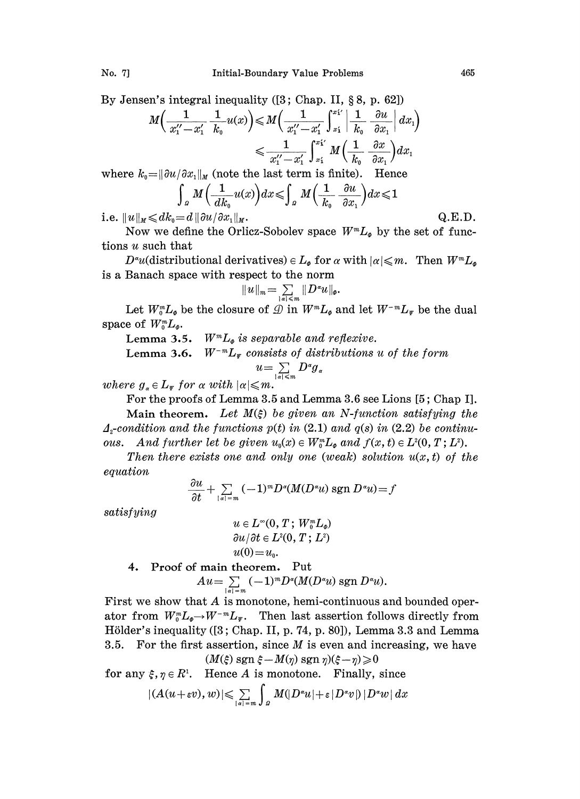By Jensen's integral inequality  $([3; Chap. II, §8, p. 62])$ 

$$
M\left(\frac{1}{x_1^{\prime\prime}-x_1^{\prime}}\frac{1}{k_0}u(x)\right) \leqslant M\left(\frac{1}{x_1^{\prime\prime}-x_1^{\prime}}\int_{x_1}^{x_1^{\prime\prime}}\left|\frac{1}{k_0}\frac{\partial u}{\partial x_1}\right|dx_1\right)
$$

$$
\leqslant \frac{1}{x_1^{\prime\prime}-x_1^{\prime}}\int_{x_1}^{x_1^{\prime\prime}}M\left(\frac{1}{k_0}\frac{\partial x}{\partial x_1}\right)dx_1
$$

where  $k_0 = ||\partial u / \partial x_1||_M$  (note the last term is finite). Hence

$$
\int_{a} M\left(\frac{1}{dk_{0}}u(x)\right)dx \leqslant \int_{a} M\left(\frac{1}{k_{0}}\frac{\partial u}{\partial x_{1}}\right)dx \leqslant 1
$$

i.e.  $||u||_M \le d k_0 = d||\partial u / \partial x_1||_M$ . Q.E.D.

Now we define the Orlicz-Sobolev space  $W^m L_{\phi}$  by the set of functions u such that

 $D^{\alpha}u$ (distributional derivatives)  $\in L_{\phi}$  for  $\alpha$  with  $|\alpha| \leq m$ . Then  $W^mL_{\phi}$ is a Banach space with respect to the norm

$$
||u||_m=\sum_{|\alpha|\leqslant m}||D^{\alpha}u||_{\varphi}.
$$

Let  $W_0^m L_{\phi}$  be the closure of  $\mathcal{D}$  in  $W^m L_{\phi}$  and let  $W^{-m} L_{\psi}$  be the dual space of  $W_0^m L_a$ .

Lemma 3.5.  $W^m L_{\varphi}$  is separable and reflexive.<br>Lemma 3.6.  $W^{-m} L_{\varphi}$  consists of distributions

 $W^{-m}L_v$  consists of distributions u of the form  $u=\sum\limits_{|a|\leq m}D^{\alpha}g_{a}$ 

where  $g_{\alpha} \in L_{\Psi}$  for  $\alpha$  with  $|\alpha| \leqslant m$ .

For the proofs of Lemma 3.5 and Lemma 3.6 see Lions [5; Chap I].

Main theorem. Let  $M(\xi)$  be given an N-function satisfying the  $\Lambda_z$ -condition and the functions p(t) in (2.1) and q(s) in (2.2) be continuous. And further let be given  $u_0(x) \in W_0^m L_{\varphi}$  and  $f(x, t) \in L^2(0, T; L^2)$ .

Then there exists one and only one (weak) solution  $u(x, t)$  of the equation

$$
\frac{\partial u}{\partial t} + \sum_{|a|=m} (-1)^m D^a(M(D^a u) \operatorname{sgn} D^a u) = f
$$
  

$$
u \in L^{\infty}(0, T; W_0^m L_{\phi})
$$
  

$$
\frac{\partial u}{\partial t} \in L^2(0, T; L^2)
$$

satisfying

$$
u\in L^\infty(0,\,T\,;\,W_0^mL_\phi)\\ {\partial u}/{\partial t}\in L^2(0,\,T\,;\,L^2)\\ u(0)\!=\!u_0.
$$

4. Proof of main theorem. Put

$$
Au = \sum_{|u|=m} (-1)^m D^u(M(D^s u) \operatorname{sgn} D^s u).
$$

First we show that A is monotone, hemi-continuous and bounded operator from  $W_0^m L_{\phi} \to W^{-m} L_{\psi}$ . Then last assertion follows directly from Hölder's inequality ([3; Chap. II, p. 74, p. 80]), Lemma 3.3 and Lemma 3.5. For the first assertion, since  $M$  is even and increasing, we have  $(M(\xi)$  sgn  $\xi - M(\eta)$  sgn  $\eta$ ) $(\xi - \eta) \geq 0$ 

for any  $\xi, \eta \in R^1$ . Hence A is monotone. Finally, since

$$
(M(\xi) \text{ sgn } \xi - M(\eta) \text{ sgn } \eta)(\xi - \eta) \geqslant 0
$$
  

$$
\xi, \eta \in R^1. \quad \text{Hence } A \text{ is monotone. Finally, since}
$$
  

$$
|(A(u+\varepsilon v), w)| \leqslant \sum_{|\alpha| = m} \int_{\Omega} M(|D^{\alpha}u| + \varepsilon |D^{\alpha}v|) |D^{\alpha}w| dx
$$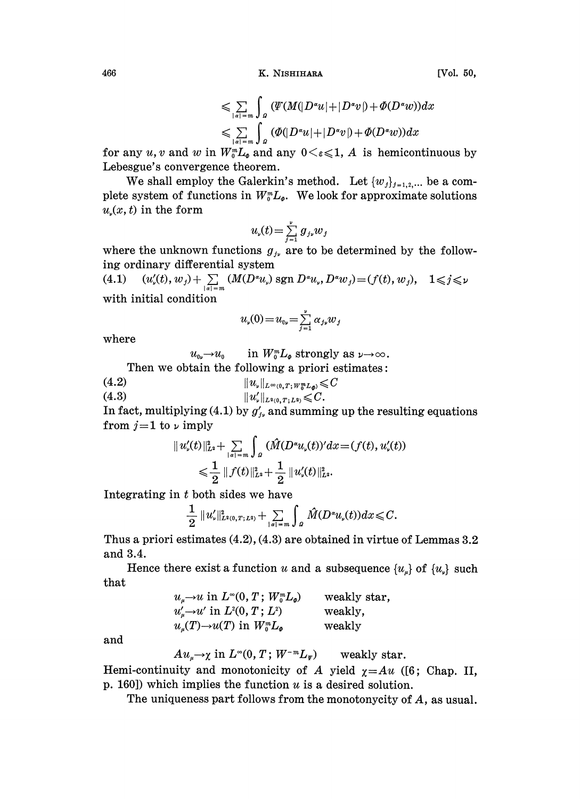466 K. NISHIHARA

$$
\leqslant \sum_{|\alpha|=m} \int_{\Omega} \left( \frac{\Psi(M(|D^{\alpha}u| + |D^{\alpha}v|) + \Phi(D^{\alpha}w))dx}{\sum_{|\alpha|=m} \int_{\Omega} \left( \Phi(|D^{\alpha}u| + |D^{\alpha}v|) + \Phi(D^{\alpha}w) \right)dx}
$$

for any u, v and w in  $W_0^m L_{\varrho}$  and any  $0 \lt \varepsilon \leq 1$ , A is hemicontinuous by Lebesgue's convergence theorem.

We shall employ the Galerkin's method. Let  $\{w_j\}_{j=1,2,\dots}$  be a complete system of functions in  $W_0^m L_{\varphi}$ . We look for approximate solutions  $u(x, t)$  in the form

$$
u_{\nu}(t) = \sum_{j=1}^{\nu} g_{j\nu} w_j
$$

where the unknown functions  $g_{i\nu}$  are to be determined by the following ordinary differential system

(4.1)  $(u'_s(t), w_j) + \sum_{|a|=m} (M(D^a u_s) \operatorname{sgn} D^a u_s, D^a w_j) = (f(t), w_j), \quad 1 \leq j \leq \nu$ with initial condition

$$
u_{\mathbf{v}}(0) = u_{\mathbf{0}\mathbf{v}} = \sum_{j=1}^{\mathbf{v}} \alpha_{j\mathbf{v}} w_j
$$

where

 $u_{0\nu} \rightarrow u_0$  in  $W_0^m L_\varphi$  strongly as  $\nu \rightarrow \infty$ .

Then we obtain the following a priori estimates:

(4.2) 
$$
\|u_{\nu}\|_{L^{\infty}(0,T;W_{0}^{m}L_{\varnothing})}\leq C
$$
  
(4.3) 
$$
\|u'_{\nu}\|_{L^{2}(0,T;L^{2})}\leq C.
$$

In fact, multiplying (4.1) by  $g'_{j_v}$  and summing up the resulting equations from  $j = 1$  to  $\nu$  imply

$$
\begin{aligned} \|u_\flat'(t)\|_{\scriptscriptstyle{L^2}}^2&+\sum_{|s|=m}\int_{\scriptscriptstyle{B}}\,(\hat{M}(D^s u_\flat(t))'dx\!=\!(f(t),u_\flat'(t))\\ &\leqslant\frac{1}{2}\,\|f(t)\|_{\scriptscriptstyle{L^2}}^2+\frac{1}{2}\,\|u_\flat'(t)\|_{\scriptscriptstyle{L^2}}^2.\end{aligned}
$$

Integrating in <sup>t</sup> both sides we have

$$
\frac{1}{2}||u'_{\nu}||_{L^{2}(0,T;L^{2})}^{2}+\sum_{|\alpha|=m}\int_{\Omega}\hat{M}(D^{\alpha}u_{\nu}(t))dx \leqslant C.
$$

Thus a priori estimates (4.2), (4.3) are obtained in virtue of Lemmas 3.2 and 3.4.

Hence there exist a function u and a subsequence  $\{u_{\mu}\}\$  of  $\{u_{\nu}\}\$  such that

| $u_{\mu} \rightarrow u$ in $L^{\infty}(0, T; W_0^m L_{\phi})$ | weakly star, |
|---------------------------------------------------------------|--------------|
| $u'_u \rightarrow u'$ in $L^2(0, T; L^2)$                     | weakly,      |
| $u_{\mu}(T) \rightarrow u(T)$ in $W_0^m L_{\varphi}$          | weakly       |

and

$$
Au_{\mu}\to \chi \text{ in } L^{\infty}(0,T\,;\,W^{-m}L_{\Psi}) \qquad \text{weakly star}.
$$

Hemi-continuity and monotonicity of A yield  $\chi = Au$  ([6; Chap. II, p. 160]) which implies the function  $u$  is a desired solution.

The uniqueness part follows from the monotonycity of A, as usual.